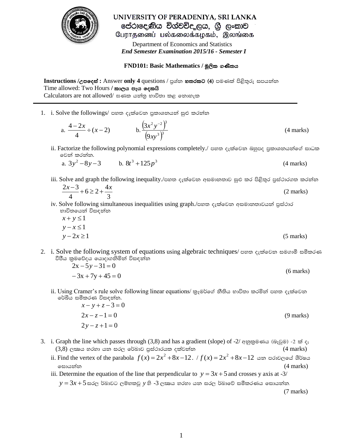

UNIVERSITY OF PERADENIYA, SRI LANKA පේරාදෙණිය විශ්වවිද ලය, ශූ ලංකාව பேராதனைப் பல்கலைக்கழகம், இலங்கை

 Department of Economics and Statistics  *End Semester Examination 2015/16 - Semester I*

## $FND101: Basic Mathematics / මූලික ගණිතය$

 $\textbf{Instructions}/$ උපදෙස් : Answer  $\textbf{only 4}$  questions / පුශ්ත **හතරක**ට (4) පමණක් පිළිතුරු සපයන්න  $Time$  allowed: Two Hours / කාලය පැය දෙකයි Calculators are not allowed/ ඝණක යන්නු භාවිතා කළ නොහැක

1. i. Solve the followings/ පහත දැක්වෙන පුකාශනයන් සුළු කරන්න

a. 
$$
\frac{4-2x}{4} \div (x-2)
$$
 b.  $\frac{(3x^2y^{-2})^3}{(9xy^3)^3}$  (4 marks)

ii. Factorize the following polynomial expressions completely./ පහත දැක්වෙන බහුපද පුකාශනයන්ගේ සාධක වෙන් කරන්න.

a. 
$$
3y^2 - 8y - 3
$$
 b.  $8t^3 + 125p^3$  (4 marks)

iii. Solve and graph the following inequality./පහත දැක්වෙන අසමානතාව සුළු කර පිළිතුර පුස්ථාරගත කරන්න

$$
\frac{2x-3}{4} + 6 \ge 2 + \frac{4x}{3}
$$
 (2 marks)

iv. Solve following simultaneous inequalities using graph./පහත දැක්වෙන අසමානතාවයන් පුස්ථාර භාවිතයෙන් විසඳන්න

$$
x + y \le 1
$$
  
\n
$$
y - x \le 1
$$
  
\n
$$
y - 2x \ge 1
$$
\n(5 marks)

2. i. Solve the following system of equations using algebraic techniques/ පහත දැක්වෙන සමගාමී සමීකරණ වීපීය කුමවේදය යොදාගනිමින් විසඳන්න

$$
2x - 5y - 31 = 0
$$
  
-3x + 7y + 45 = 0 (6 marks)

- ii. Using Cramer's rule solve following linear equations/ කුෑමර්ගේ නීතිය භාවිතා කරමින් පහත දැක්වෙන රේඛීය සමීකරණ විසඳන්න.
	- $2y z + 1 = 0$  $2x - z - 1 = 0$  $x - y + z - 3 = 0$ (9 marks)
- 3. i. Graph the line which passes through (3,8) and has a gradient (slope) of -2/ අනුකුමණය (බෑවුම) -2 ක් ද;  $(3,8)$  ලකාය හරහා යන සරල රේඛාව පුස්ථාරයක දක්වන්න  $(4 \text{ marks})$ 
	- ii. Find the vertex of the parabola  $f(x) = 2x^2 + 8x 12$ .  $/f(x) = 2x^2 + 8x 12$  යන පරාවලයේ ශීර්ෂය  $\circ$ සායන්න ( $\uparrow$  marks)
	- iii. Determine the equation of the line that perpendicular to  $y = 3x + 5$  and crosses y axis at -3/

 $y$   $=$   $3x$   $+$   $5$  සරල ර්බාවට ලම්භකවූ  $y$  හි - $3$  ල*ඎ*ග හරහා යන සරල ර්බාවේ සමීකරණය සොයන්න. (7 marks)